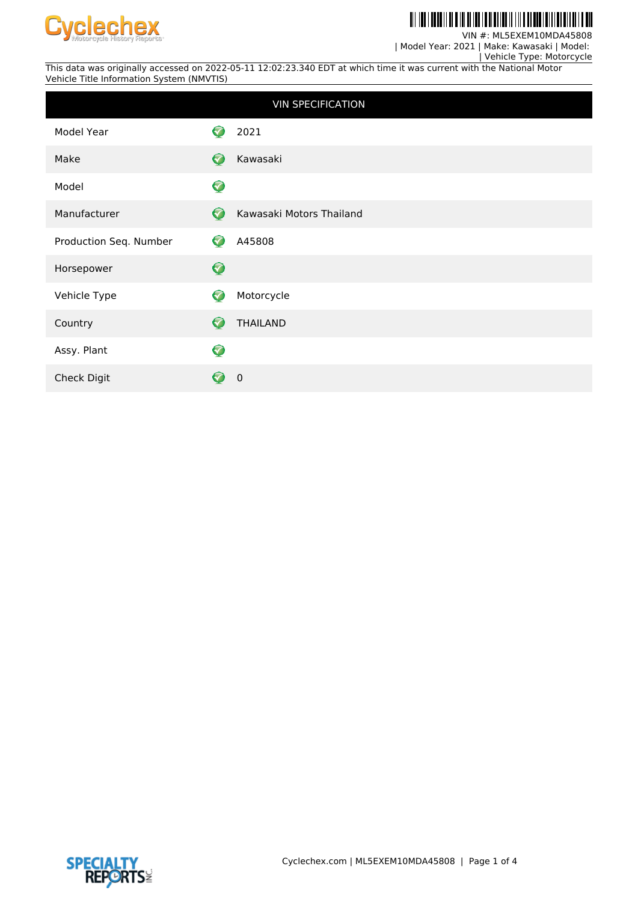

#### <u> All Ind I donall al a in al iad i a maniar in lin a all</u> H

VIN #: ML5EXEM10MDA45808

| Model Year: 2021 | Make: Kawasaki | Model:

 | Vehicle Type: Motorcycle This data was originally accessed on 2022-05-11 12:02:23.340 EDT at which time it was current with the National Motor Vehicle Title Information System (NMVTIS)

|                        |           | <b>VIN SPECIFICATION</b> |
|------------------------|-----------|--------------------------|
| Model Year             | ✓         | 2021                     |
| Make                   | Ø         | Kawasaki                 |
| Model                  | $\bullet$ |                          |
| Manufacturer           | $\bullet$ | Kawasaki Motors Thailand |
| Production Seq. Number | ♡         | A45808                   |
| Horsepower             | $\bullet$ |                          |
| Vehicle Type           | 3         | Motorcycle               |
| Country                | 0         | <b>THAILAND</b>          |
| Assy. Plant            | $\bullet$ |                          |
| Check Digit            |           | $\mathbf 0$              |

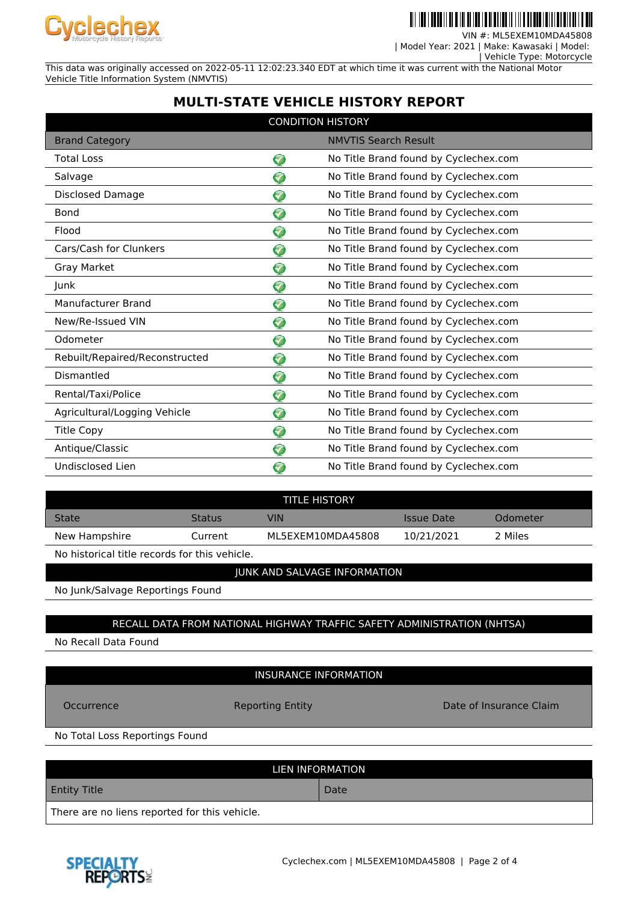

<u> III III III III II II </u>

VIN #: ML5EXEM10MDA45808

| Model Year: 2021 | Make: Kawasaki | Model:

 | Vehicle Type: Motorcycle This data was originally accessed on 2022-05-11 12:02:23.340 EDT at which time it was current with the National Motor

Vehicle Title Information System (NMVTIS)

**MULTI-STATE VEHICLE HISTORY REPORT**

| <b>CONDITION HISTORY</b>       |          |                                       |  |  |  |
|--------------------------------|----------|---------------------------------------|--|--|--|
| <b>Brand Category</b>          |          | <b>NMVTIS Search Result</b>           |  |  |  |
| <b>Total Loss</b>              | 5        | No Title Brand found by Cyclechex.com |  |  |  |
| Salvage                        | <b>V</b> | No Title Brand found by Cyclechex.com |  |  |  |
| <b>Disclosed Damage</b>        | 7        | No Title Brand found by Cyclechex.com |  |  |  |
| <b>Bond</b>                    | 7        | No Title Brand found by Cyclechex.com |  |  |  |
| Flood                          | 0        | No Title Brand found by Cyclechex.com |  |  |  |
| Cars/Cash for Clunkers         | ❤        | No Title Brand found by Cyclechex.com |  |  |  |
| Gray Market                    | ଚ        | No Title Brand found by Cyclechex.com |  |  |  |
| Junk                           | ❤        | No Title Brand found by Cyclechex.com |  |  |  |
| Manufacturer Brand             | ❤        | No Title Brand found by Cyclechex.com |  |  |  |
| New/Re-Issued VIN              | Ø        | No Title Brand found by Cyclechex.com |  |  |  |
| Odometer                       | Ø        | No Title Brand found by Cyclechex.com |  |  |  |
| Rebuilt/Repaired/Reconstructed | 7        | No Title Brand found by Cyclechex.com |  |  |  |
| Dismantled                     | 0        | No Title Brand found by Cyclechex.com |  |  |  |
| Rental/Taxi/Police             | ଚ        | No Title Brand found by Cyclechex.com |  |  |  |
| Agricultural/Logging Vehicle   | ❤        | No Title Brand found by Cyclechex.com |  |  |  |
| <b>Title Copy</b>              | ♡        | No Title Brand found by Cyclechex.com |  |  |  |
| Antique/Classic                | ♡        | No Title Brand found by Cyclechex.com |  |  |  |
| Undisclosed Lien               | 7        | No Title Brand found by Cyclechex.com |  |  |  |

| <b>TITLE HISTORY</b> |               |                   |                   |          |  |
|----------------------|---------------|-------------------|-------------------|----------|--|
| <b>State</b>         | <b>Status</b> | VIN               | <b>Issue Date</b> | Odometer |  |
| New Hampshire        | Current       | ML5EXEM10MDA45808 | 10/21/2021        | 2 Miles  |  |
|                      |               |                   |                   |          |  |

No historical title records for this vehicle.

### JUNK AND SALVAGE INFORMATION

No Junk/Salvage Reportings Found

## RECALL DATA FROM NATIONAL HIGHWAY TRAFFIC SAFETY ADMINISTRATION (NHTSA)

No Recall Data Found

## INSURANCE INFORMATION

Occurrence **Reporting Entity Reporting Entity Date of Insurance Claim** 

No Total Loss Reportings Found

| LIEN INFORMATION                              |      |  |  |  |
|-----------------------------------------------|------|--|--|--|
| <b>Entity Title</b>                           | Date |  |  |  |
| There are no liens reported for this vehicle. |      |  |  |  |

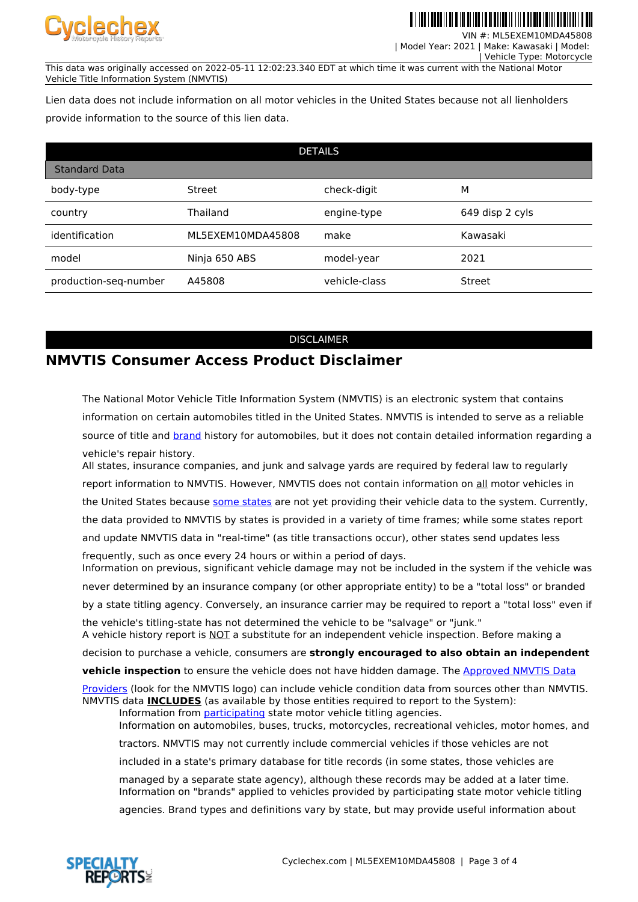

VIN #: ML5EXEM10MDA45808

 | Model Year: 2021 | Make: Kawasaki | Model: | Vehicle Type: Motorcycle

This data was originally accessed on 2022-05-11 12:02:23.340 EDT at which time it was current with the National Motor Vehicle Title Information System (NMVTIS)

Lien data does not include information on all motor vehicles in the United States because not all lienholders provide information to the source of this lien data.

| <b>DETAILS</b>        |                   |               |                 |  |  |  |
|-----------------------|-------------------|---------------|-----------------|--|--|--|
| <b>Standard Data</b>  |                   |               |                 |  |  |  |
| body-type             | <b>Street</b>     | check-digit   | м               |  |  |  |
| country               | Thailand          | engine-type   | 649 disp 2 cyls |  |  |  |
| identification        | ML5EXEM10MDA45808 | make          | Kawasaki        |  |  |  |
| model                 | Ninja 650 ABS     | model-year    | 2021            |  |  |  |
| production-seq-number | A45808            | vehicle-class | <b>Street</b>   |  |  |  |

#### DISCLAIMER

# **NMVTIS Consumer Access Product Disclaimer**

The National Motor Vehicle Title Information System (NMVTIS) is an electronic system that contains information on certain automobiles titled in the United States. NMVTIS is intended to serve as a reliable source of title and [brand](https://vehiclehistory.bja.ojp.gov/nmvtis_glossary) history for automobiles, but it does not contain detailed information regarding a vehicle's repair history.

All states, insurance companies, and junk and salvage yards are required by federal law to regularly report information to NMVTIS. However, NMVTIS does not contain information on all motor vehicles in the United States because [some states](https://vehiclehistory.bja.ojp.gov/nmvtis_states) are not yet providing their vehicle data to the system. Currently, the data provided to NMVTIS by states is provided in a variety of time frames; while some states report and update NMVTIS data in "real-time" (as title transactions occur), other states send updates less

frequently, such as once every 24 hours or within a period of days. Information on previous, significant vehicle damage may not be included in the system if the vehicle was never determined by an insurance company (or other appropriate entity) to be a "total loss" or branded

by a state titling agency. Conversely, an insurance carrier may be required to report a "total loss" even if

the vehicle's titling-state has not determined the vehicle to be "salvage" or "junk." A vehicle history report is NOT a substitute for an independent vehicle inspection. Before making a

decision to purchase a vehicle, consumers are **strongly encouraged to also obtain an independent**

**vehicle inspection** to ensure the vehicle does not have hidden damage. The [Approved NMVTIS Data](https://vehiclehistory.bja.ojp.gov/nmvtis_vehiclehistory)

[Providers](https://vehiclehistory.bja.ojp.gov/nmvtis_vehiclehistory) (look for the NMVTIS logo) can include vehicle condition data from sources other than NMVTIS. NMVTIS data **INCLUDES** (as available by those entities required to report to the System):

Information from [participating](https://vehiclehistory.bja.ojp.gov/nmvtis_states) state motor vehicle titling agencies. Information on automobiles, buses, trucks, motorcycles, recreational vehicles, motor homes, and

tractors. NMVTIS may not currently include commercial vehicles if those vehicles are not

included in a state's primary database for title records (in some states, those vehicles are

managed by a separate state agency), although these records may be added at a later time. Information on "brands" applied to vehicles provided by participating state motor vehicle titling

agencies. Brand types and definitions vary by state, but may provide useful information about